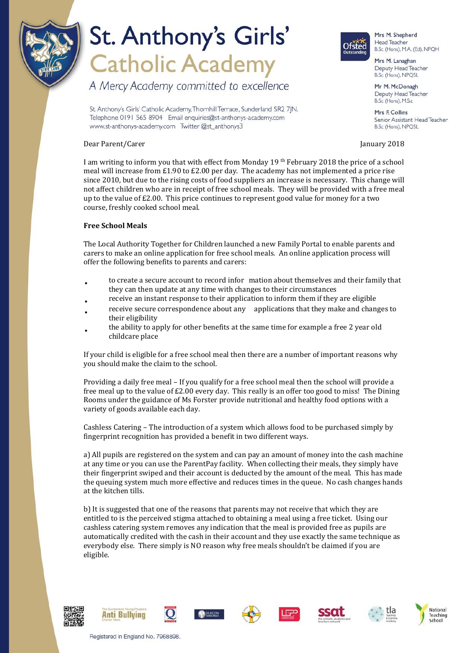

# St. Anthony's Girls' **Catholic Academy**

A Mercy Academy committed to excellence

St. Anthony's Girls' Catholic Academy, Thornhill Terrace, Sunderland SR2 7IN. Telephone 0191 565 8904 Email enquiries@st-anthonys-academy.com www.st-anthonys-academy.com Twitter @st\_anthonys3

### Dear Parent/Carer January 2018

I am writing to inform you that with effect from Monday 19 th February 2018 the price of a school meal will increase from £1.90 to £2.00 per day. The academy has not implemented a price rise since 2010, but due to the rising costs of food suppliers an increase is necessary. This change will not affect children who are in receipt of free school meals. They will be provided with a free meal up to the value of £2.00. This price continues to represent good value for money for a two course, freshly cooked school meal.

### **Free School Meals**

The Local Authority Together for Children launched a new Family Portal to enable parents and carers to make an online application for free school meals. An online application process will offer the following benefits to parents and carers:

- to create a secure account to record infor mation about themselves and their family that they can then update at any time with changes to their circumstances
- receive an instant response to their application to inform them if they are eligible
- receive secure correspondence about any applications that they make and changes to their eligibility
- the ability to apply for other benefits at the same time for example a free 2 year old childcare place

If your child is eligible for a free school meal then there are a number of important reasons why you should make the claim to the school.

Providing a daily free meal – If you qualify for a free school meal then the school will provide a free meal up to the value of £2.00 every day. This really is an offer too good to miss! The Dining Rooms under the guidance of Ms Forster provide nutritional and healthy food options with a variety of goods available each day.

Cashless Catering – The introduction of a system which allows food to be purchased simply by fingerprint recognition has provided a benefit in two different ways.

a) All pupils are registered on the system and can pay an amount of money into the cash machine at any time or you can use the ParentPay facility. When collecting their meals, they simply have their fingerprint swiped and their account is deducted by the amount of the meal. This has made the queuing system much more effective and reduces times in the queue. No cash changes hands at the kitchen tills.

b) It is suggested that one of the reasons that parents may not receive that which they are entitled to is the perceived stigma attached to obtaining a meal using a free ticket. Using our cashless catering system removes any indication that the meal is provided free as pupils are automatically credited with the cash in their account and they use exactly the same technique as everybody else. There simply is NO reason why free meals shouldn't be claimed if you are eligible.

















Head Teacher B.Sc (Hons), M.A. (Ed), NPQH Mrs M. Lanaghan Deputy Head Teacher

Mrs M. Shepherd

Ofsted

B.Sc (Hons), NPQSL Mr M. McDonagh

Deputy Head Teacher B.Sc (Hons), M.S.c

Mrs E Collins Senior Assistant Head Teacher B.Sc (Hons), NPQSL